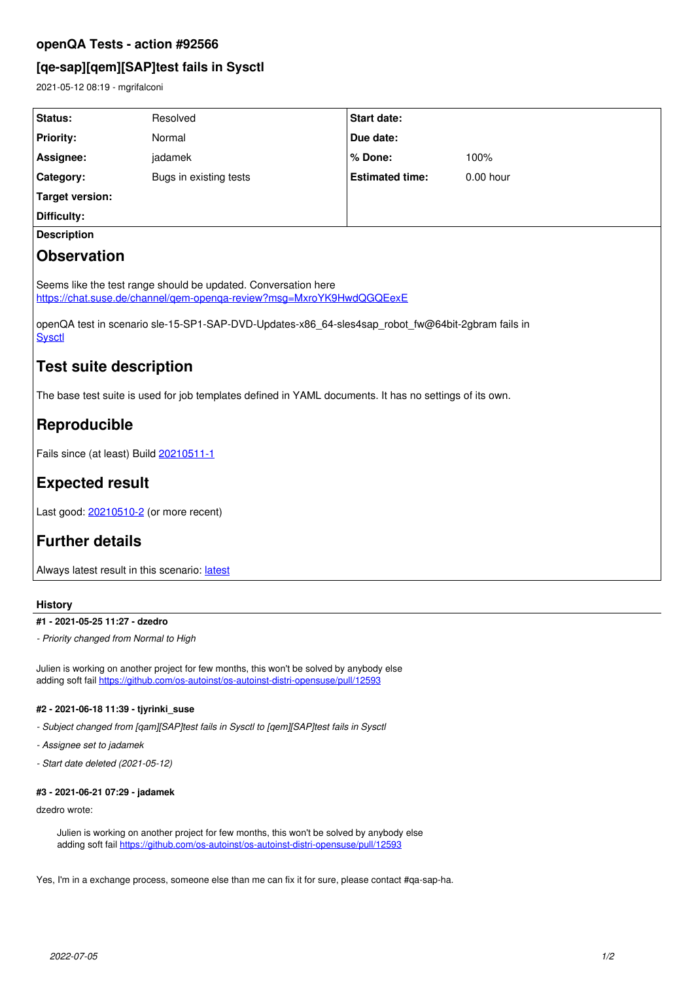## **openQA Tests - action #92566**

# **[qe-sap][qem][SAP]test fails in Sysctl**

2021-05-12 08:19 - mgrifalconi

| <b>Status:</b>                                                                                                                         | Resolved               | <b>Start date:</b>     |             |
|----------------------------------------------------------------------------------------------------------------------------------------|------------------------|------------------------|-------------|
| <b>Priority:</b>                                                                                                                       | Normal                 | Due date:              |             |
| Assignee:                                                                                                                              | jadamek                | % Done:                | 100%        |
| Category:                                                                                                                              | Bugs in existing tests | <b>Estimated time:</b> | $0.00$ hour |
| <b>Target version:</b>                                                                                                                 |                        |                        |             |
| Difficulty:                                                                                                                            |                        |                        |             |
| <b>Description</b>                                                                                                                     |                        |                        |             |
| <b>Observation</b>                                                                                                                     |                        |                        |             |
| Seems like the test range should be updated. Conversation here<br>https://chat.suse.de/channel/gem-openga-review?msg=MxroYK9HwdQGQEexE |                        |                        |             |
| openQA test in scenario sle-15-SP1-SAP-DVD-Updates-x86_64-sles4sap_robot_fw@64bit-2gbram fails in<br><b>Sysctl</b>                     |                        |                        |             |
| <b>Test suite description</b>                                                                                                          |                        |                        |             |
| The base test suite is used for job templates defined in YAML documents. It has no settings of its own.                                |                        |                        |             |
| Reproducible                                                                                                                           |                        |                        |             |
| Fails since (at least) Build 20210511-1                                                                                                |                        |                        |             |
| <b>Expected result</b>                                                                                                                 |                        |                        |             |
| Last good: 20210510-2 (or more recent)                                                                                                 |                        |                        |             |
| <b>Further details</b>                                                                                                                 |                        |                        |             |
| Always latest result in this scenario: latest                                                                                          |                        |                        |             |

## **History**

## **#1 - 2021-05-25 11:27 - dzedro**

*- Priority changed from Normal to High*

Julien is working on another project for few months, this won't be solved by anybody else adding soft fail <https://github.com/os-autoinst/os-autoinst-distri-opensuse/pull/12593>

## **#2 - 2021-06-18 11:39 - tjyrinki\_suse**

- *Subject changed from [qam][SAP]test fails in Sysctl to [qem][SAP]test fails in Sysctl*
- *Assignee set to jadamek*
- *Start date deleted (2021-05-12)*

### **#3 - 2021-06-21 07:29 - jadamek**

dzedro wrote:

Julien is working on another project for few months, this won't be solved by anybody else adding soft fail <https://github.com/os-autoinst/os-autoinst-distri-opensuse/pull/12593>

Yes, I'm in a exchange process, someone else than me can fix it for sure, please contact #qa-sap-ha.